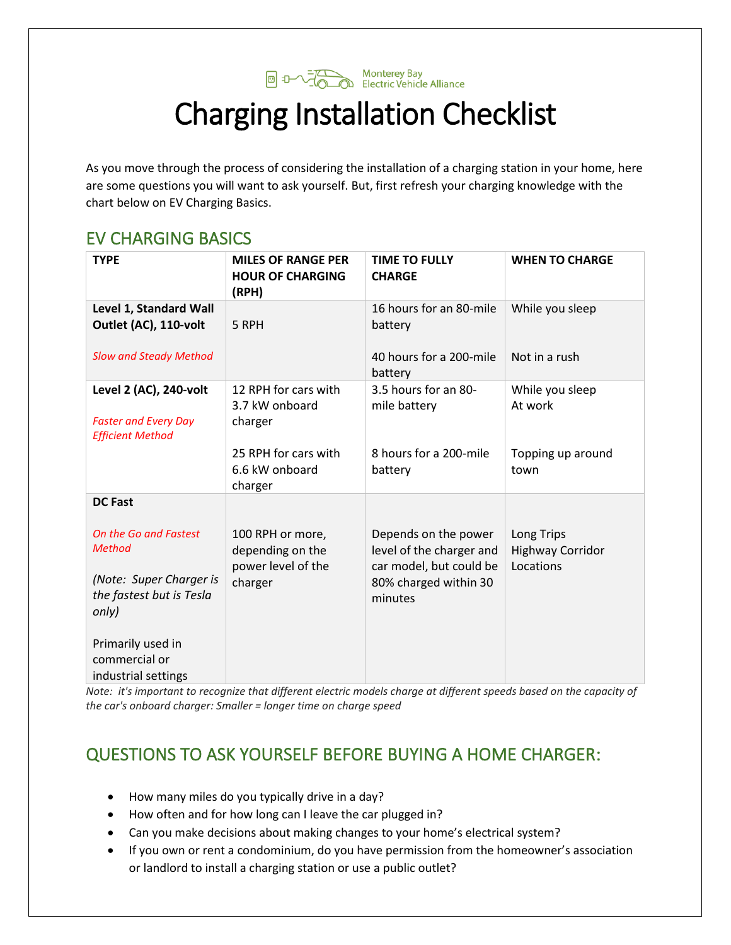

# Charging Installation Checklist

As you move through the process of considering the installation of a charging station in your home, here are some questions you will want to ask yourself. But, first refresh your charging knowledge with the chart below on EV Charging Basics.

#### EV CHARGING BASICS

| <b>TYPE</b>                                                                      | <b>MILES OF RANGE PER</b><br><b>HOUR OF CHARGING</b><br>(RPH) | <b>TIME TO FULLY</b><br><b>CHARGE</b>                                       | <b>WHEN TO CHARGE</b>                              |
|----------------------------------------------------------------------------------|---------------------------------------------------------------|-----------------------------------------------------------------------------|----------------------------------------------------|
| Level 1, Standard Wall<br>Outlet (AC), 110-volt                                  | 5 RPH                                                         | 16 hours for an 80-mile<br>battery                                          | While you sleep                                    |
| <b>Slow and Steady Method</b>                                                    |                                                               | 40 hours for a 200-mile<br>battery                                          | Not in a rush                                      |
| Level 2 (AC), 240-volt<br><b>Faster and Every Day</b><br><b>Efficient Method</b> | 12 RPH for cars with<br>3.7 kW onboard<br>charger             | 3.5 hours for an 80-<br>mile battery                                        | While you sleep<br>At work                         |
|                                                                                  | 25 RPH for cars with<br>6.6 kW onboard<br>charger             | 8 hours for a 200-mile<br>battery                                           | Topping up around<br>town                          |
| <b>DC Fast</b>                                                                   |                                                               |                                                                             |                                                    |
| On the Go and Fastest<br><b>Method</b>                                           | 100 RPH or more,<br>depending on the<br>power level of the    | Depends on the power<br>level of the charger and<br>car model, but could be | Long Trips<br><b>Highway Corridor</b><br>Locations |
| (Note: Super Charger is<br>the fastest but is Tesla<br>only)                     | charger                                                       | 80% charged within 30<br>minutes                                            |                                                    |
| Primarily used in<br>commercial or<br>industrial settings                        |                                                               |                                                                             |                                                    |

*Note: it's important to recognize that different electric models charge at different speeds based on the capacity of the car's onboard charger: Smaller = longer time on charge speed*

## QUESTIONS TO ASK YOURSELF BEFORE BUYING A HOME CHARGER:

- How many miles do you typically drive in a day?
- How often and for how long can I leave the car plugged in?
- Can you make decisions about making changes to your home's electrical system?
- If you own or rent a condominium, do you have permission from the homeowner's association or landlord to install a charging station or use a public outlet?